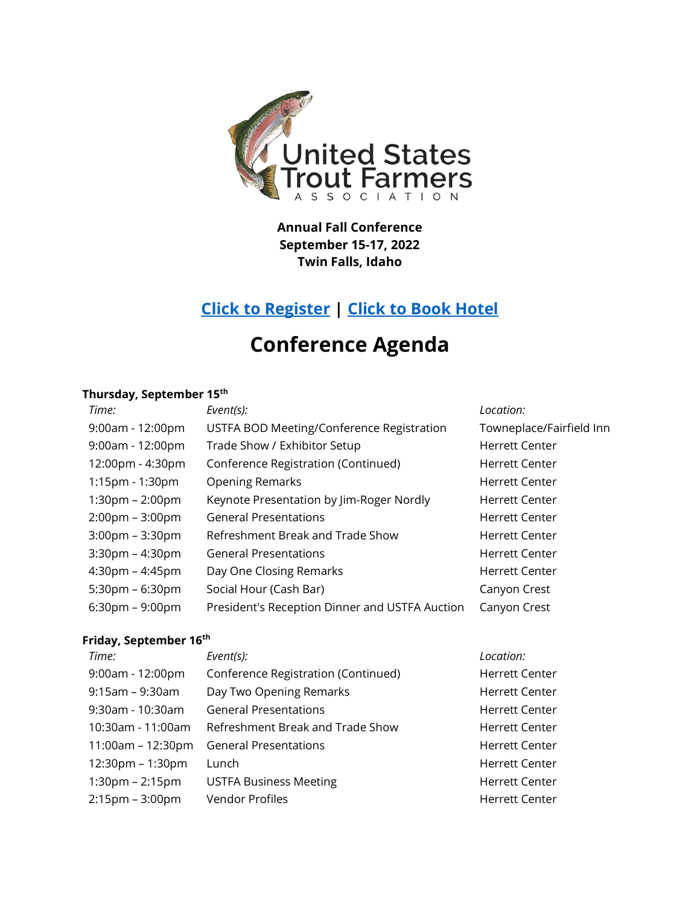

**Annual Fall Conference September 15-17, 2022 Twin Falls, Idaho**

# **[Click to Register](https://www.eventbrite.com/e/ustfa-fall-conference-registration-339161991647) | [Click to Book Hotel](https://www.marriott.com/event-reservations/reservation-link.mi?id=1644455547543&key=GRP&app=resvlink)**

# **Conference Agenda**

## **Thursday, September 15th**

| Time:                             | Event(s):                                      | Location:                |
|-----------------------------------|------------------------------------------------|--------------------------|
| $9:00am - 12:00pm$                | USTFA BOD Meeting/Conference Registration      | Towneplace/Fairfield Inn |
| $9:00am - 12:00pm$                | Trade Show / Exhibitor Setup                   | <b>Herrett Center</b>    |
| 12:00pm - 4:30pm                  | Conference Registration (Continued)            | <b>Herrett Center</b>    |
| 1:15pm - 1:30pm                   | <b>Opening Remarks</b>                         | <b>Herrett Center</b>    |
| $1:30 \text{pm} - 2:00 \text{pm}$ | Keynote Presentation by Jim-Roger Nordly       | <b>Herrett Center</b>    |
| $2:00 \text{pm} - 3:00 \text{pm}$ | <b>General Presentations</b>                   | <b>Herrett Center</b>    |
| $3:00 \text{pm} - 3:30 \text{pm}$ | Refreshment Break and Trade Show               | <b>Herrett Center</b>    |
| $3:30$ pm – $4:30$ pm             | <b>General Presentations</b>                   | <b>Herrett Center</b>    |
| $4:30 \text{pm} - 4:45 \text{pm}$ | Day One Closing Remarks                        | <b>Herrett Center</b>    |
| $5:30$ pm – 6:30pm                | Social Hour (Cash Bar)                         | Canyon Crest             |
| $6:30 \text{pm} - 9:00 \text{pm}$ | President's Reception Dinner and USTFA Auction | Canyon Crest             |

### **Friday, September 16 th**

| Time:                 | Event(s):                           | Location:             |
|-----------------------|-------------------------------------|-----------------------|
| $9:00am - 12:00pm$    | Conference Registration (Continued) | <b>Herrett Center</b> |
| $9:15$ am – $9:30$ am | Day Two Opening Remarks             | <b>Herrett Center</b> |
| $9:30$ am - 10:30am   | <b>General Presentations</b>        | <b>Herrett Center</b> |
| 10:30am - 11:00am     | Refreshment Break and Trade Show    | <b>Herrett Center</b> |
| $11:00am - 12:30pm$   | <b>General Presentations</b>        | <b>Herrett Center</b> |
| $12:30$ pm – 1:30pm   | Lunch                               | <b>Herrett Center</b> |
| $1:30pm - 2:15pm$     | <b>USTFA Business Meeting</b>       | <b>Herrett Center</b> |
| $2:15$ pm - $3:00$ pm | <b>Vendor Profiles</b>              | <b>Herrett Center</b> |
|                       |                                     |                       |